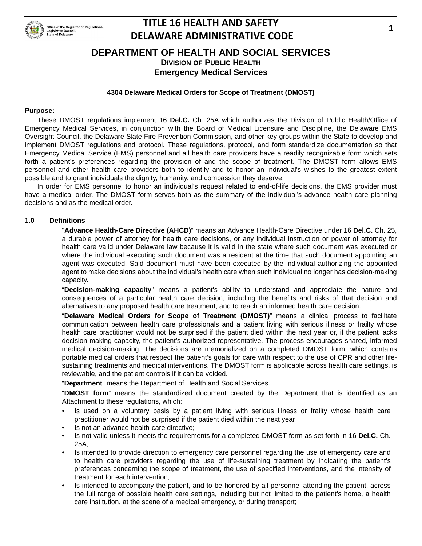

## **DEPARTMENT OF HEALTH AND SOCIAL SERVICES DIVISION OF PUBLIC HEALTH**

**Emergency Medical Services**

#### **4304 Delaware Medical Orders for Scope of Treatment (DMOST)**

#### **Purpose:**

These DMOST regulations implement 16 **Del.C.** Ch. 25A which authorizes the Division of Public Health/Office of Emergency Medical Services, in conjunction with the Board of Medical Licensure and Discipline, the Delaware EMS Oversight Council, the Delaware State Fire Prevention Commission, and other key groups within the State to develop and implement DMOST regulations and protocol. These regulations, protocol, and form standardize documentation so that Emergency Medical Service (EMS) personnel and all health care providers have a readily recognizable form which sets forth a patient's preferences regarding the provision of and the scope of treatment. The DMOST form allows EMS personnel and other health care providers both to identify and to honor an individual's wishes to the greatest extent possible and to grant individuals the dignity, humanity, and compassion they deserve.

In order for EMS personnel to honor an individual's request related to end-of-life decisions, the EMS provider must have a medical order. The DMOST form serves both as the summary of the individual's advance health care planning decisions and as the medical order.

#### **1.0 Definitions**

"**Advance Health-Care Directive (AHCD)**" means an Advance Health-Care Directive under 16 **Del.C.** Ch. 25, a durable power of attorney for health care decisions, or any individual instruction or power of attorney for health care valid under Delaware law because it is valid in the state where such document was executed or where the individual executing such document was a resident at the time that such document appointing an agent was executed. Said document must have been executed by the individual authorizing the appointed agent to make decisions about the individual's health care when such individual no longer has decision-making capacity.

"**Decision-making capacity**" means a patient's ability to understand and appreciate the nature and consequences of a particular health care decision, including the benefits and risks of that decision and alternatives to any proposed health care treatment, and to reach an informed health care decision.

"**Delaware Medical Orders for Scope of Treatment (DMOST)**" means a clinical process to facilitate communication between health care professionals and a patient living with serious illness or frailty whose health care practitioner would not be surprised if the patient died within the next year or, if the patient lacks decision-making capacity, the patient's authorized representative. The process encourages shared, informed medical decision-making. The decisions are memorialized on a completed DMOST form, which contains portable medical orders that respect the patient's goals for care with respect to the use of CPR and other lifesustaining treatments and medical interventions. The DMOST form is applicable across health care settings, is reviewable, and the patient controls if it can be voided.

"**Department**" means the Department of Health and Social Services.

"**DMOST form**" means the standardized document created by the Department that is identified as an Attachment to these regulations, which:

- Is used on a voluntary basis by a patient living with serious illness or frailty whose health care practitioner would not be surprised if the patient died within the next year;
- Is not an advance health-care directive;
- Is not valid unless it meets the requirements for a completed DMOST form as set forth in 16 **Del.C.** Ch. 25A;
- Is intended to provide direction to emergency care personnel regarding the use of emergency care and to health care providers regarding the use of life-sustaining treatment by indicating the patient's preferences concerning the scope of treatment, the use of specified interventions, and the intensity of treatment for each intervention;
- Is intended to accompany the patient, and to be honored by all personnel attending the patient, across the full range of possible health care settings, including but not limited to the patient's home, a health care institution, at the scene of a medical emergency, or during transport;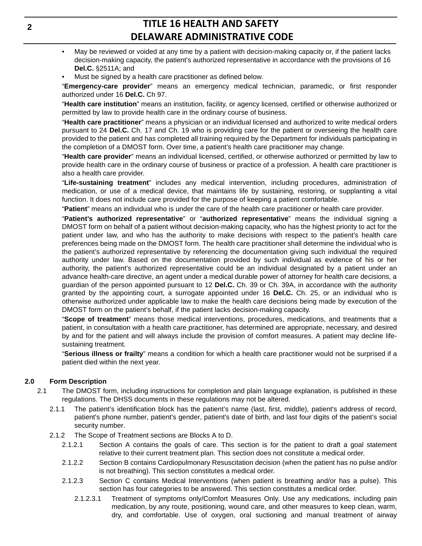- May be reviewed or voided at any time by a patient with decision-making capacity or, if the patient lacks decision-making capacity, the patient's authorized representative in accordance with the provisions of 16 **Del.C.** §2511A; and
- Must be signed by a health care practitioner as defined below.

"**Emergency-care provider**" means an emergency medical technician, paramedic, or first responder authorized under 16 **Del.C.** Ch 97.

"**Health care institution**" means an institution, facility, or agency licensed, certified or otherwise authorized or permitted by law to provide health care in the ordinary course of business.

"**Health care practitioner**" means a physician or an individual licensed and authorized to write medical orders pursuant to 24 **Del.C.** Ch. 17 and Ch. 19 who is providing care for the patient or overseeing the health care provided to the patient and has completed all training required by the Department for individuals participating in the completion of a DMOST form. Over time, a patient's health care practitioner may change.

"**Health care provider**" means an individual licensed, certified, or otherwise authorized or permitted by law to provide health care in the ordinary course of business or practice of a profession. A health care practitioner is also a health care provider.

"**Life-sustaining treatment**" includes any medical intervention, including procedures, administration of medication, or use of a medical device, that maintains life by sustaining, restoring, or supplanting a vital function. It does not include care provided for the purpose of keeping a patient comfortable.

"**Patient**" means an individual who is under the care of the health care practitioner or health care provider.

"**Patient's authorized representative**" or "**authorized representative**" means the individual signing a DMOST form on behalf of a patient without decision-making capacity, who has the highest priority to act for the patient under law, and who has the authority to make decisions with respect to the patient's health care preferences being made on the DMOST form. The health care practitioner shall determine the individual who is the patient's authorized representative by referencing the documentation giving such individual the required authority under law. Based on the documentation provided by such individual as evidence of his or her authority, the patient's authorized representative could be an individual designated by a patient under an advance health-care directive, an agent under a medical durable power of attorney for health care decisions, a guardian of the person appointed pursuant to 12 **Del.C.** Ch. 39 or Ch. 39A, in accordance with the authority granted by the appointing court, a surrogate appointed under 16 **Del.C.** Ch. 25, or an individual who is otherwise authorized under applicable law to make the health care decisions being made by execution of the DMOST form on the patient's behalf, if the patient lacks decision-making capacity.

"**Scope of treatment**" means those medical interventions, procedures, medications, and treatments that a patient, in consultation with a health care practitioner, has determined are appropriate, necessary, and desired by and for the patient and will always include the provision of comfort measures. A patient may decline lifesustaining treatment.

"**Serious illness or frailty**" means a condition for which a health care practitioner would not be surprised if a patient died within the next year.

## **2.0 Form Description**

- 2.1 The DMOST form, including instructions for completion and plain language explanation, is published in these regulations. The DHSS documents in these regulations may not be altered.
	- 2.1.1 The patient's identification block has the patient's name (last, first, middle), patient's address of record, patient's phone number, patient's gender, patient's date of birth, and last four digits of the patient's social security number.
	- 2.1.2 The Scope of Treatment sections are Blocks A to D.
		- 2.1.2.1 Section A contains the goals of care. This section is for the patient to draft a goal statement relative to their current treatment plan. This section does not constitute a medical order.
		- 2.1.2.2 Section B contains Cardiopulmonary Resuscitation decision (when the patient has no pulse and/or is not breathing). This section constitutes a medical order.
		- 2.1.2.3 Section C contains Medical Interventions (when patient is breathing and/or has a pulse). This section has four categories to be answered. This section constitutes a medical order.
			- 2.1.2.3.1 Treatment of symptoms only/Comfort Measures Only. Use any medications, including pain medication, by any route, positioning, wound care, and other measures to keep clean, warm, dry, and comfortable. Use of oxygen, oral suctioning and manual treatment of airway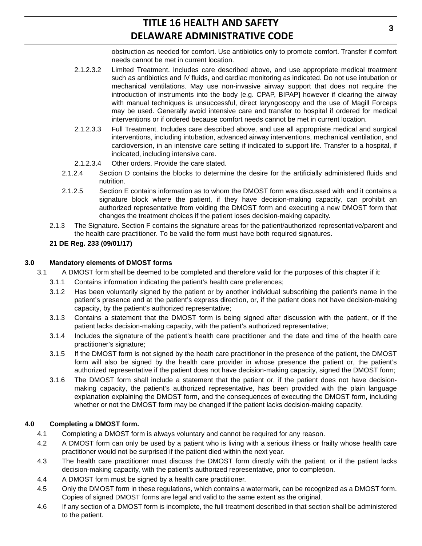obstruction as needed for comfort. Use antibiotics only to promote comfort. Transfer if comfort needs cannot be met in current location.

- 2.1.2.3.2 Limited Treatment. Includes care described above, and use appropriate medical treatment such as antibiotics and IV fluids, and cardiac monitoring as indicated. Do not use intubation or mechanical ventilations. May use non-invasive airway support that does not require the introduction of instruments into the body [e.g. CPAP, BIPAP] however if clearing the airway with manual techniques is unsuccessful, direct laryngoscopy and the use of Magill Forceps may be used. Generally avoid intensive care and transfer to hospital if ordered for medical interventions or if ordered because comfort needs cannot be met in current location.
- 2.1.2.3.3 Full Treatment. Includes care described above, and use all appropriate medical and surgical interventions, including intubation, advanced airway interventions, mechanical ventilation, and cardioversion, in an intensive care setting if indicated to support life. Transfer to a hospital, if indicated, including intensive care.
- 2.1.2.3.4 Other orders. Provide the care stated.
- 2.1.2.4 Section D contains the blocks to determine the desire for the artificially administered fluids and nutrition.
- 2.1.2.5 Section E contains information as to whom the DMOST form was discussed with and it contains a signature block where the patient, if they have decision-making capacity, can prohibit an authorized representative from voiding the DMOST form and executing a new DMOST form that changes the treatment choices if the patient loses decision-making capacity.
- 2.1.3 The Signature. Section F contains the signature areas for the patient/authorized representative/parent and the health care practitioner. To be valid the form must have both required signatures.

## **21 DE Reg. 233 (09/01/17)**

## **3.0 Mandatory elements of DMOST forms**

- 3.1 A DMOST form shall be deemed to be completed and therefore valid for the purposes of this chapter if it:
	- 3.1.1 Contains information indicating the patient's health care preferences;
	- 3.1.2 Has been voluntarily signed by the patient or by another individual subscribing the patient's name in the patient's presence and at the patient's express direction, or, if the patient does not have decision-making capacity, by the patient's authorized representative;
	- 3.1.3 Contains a statement that the DMOST form is being signed after discussion with the patient, or if the patient lacks decision-making capacity, with the patient's authorized representative;
	- 3.1.4 Includes the signature of the patient's health care practitioner and the date and time of the health care practitioner's signature;
	- 3.1.5 If the DMOST form is not signed by the heath care practitioner in the presence of the patient, the DMOST form will also be signed by the health care provider in whose presence the patient or, the patient's authorized representative if the patient does not have decision-making capacity, signed the DMOST form;
	- 3.1.6 The DMOST form shall include a statement that the patient or, if the patient does not have decisionmaking capacity, the patient's authorized representative, has been provided with the plain language explanation explaining the DMOST form, and the consequences of executing the DMOST form, including whether or not the DMOST form may be changed if the patient lacks decision-making capacity.

## **4.0 Completing a DMOST form.**

- 4.1 Completing a DMOST form is always voluntary and cannot be required for any reason.
- 4.2 A DMOST form can only be used by a patient who is living with a serious illness or frailty whose health care practitioner would not be surprised if the patient died within the next year.
- 4.3 The health care practitioner must discuss the DMOST form directly with the patient, or if the patient lacks decision-making capacity, with the patient's authorized representative, prior to completion.
- 4.4 A DMOST form must be signed by a health care practitioner.
- 4.5 Only the DMOST form in these regulations, which contains a watermark, can be recognized as a DMOST form. Copies of signed DMOST forms are legal and valid to the same extent as the original.
- 4.6 If any section of a DMOST form is incomplete, the full treatment described in that section shall be administered to the patient.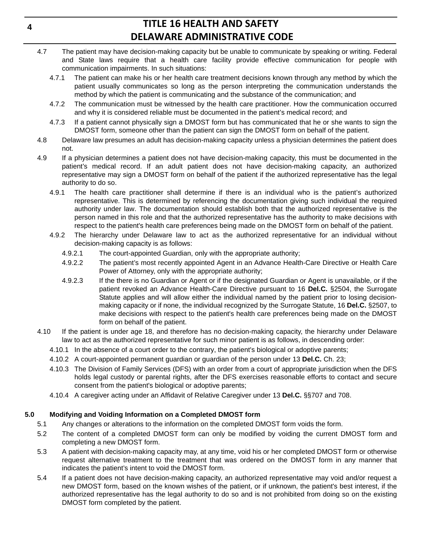- 4.7 The patient may have decision-making capacity but be unable to communicate by speaking or writing. Federal and State laws require that a health care facility provide effective communication for people with communication impairments. In such situations:
	- 4.7.1 The patient can make his or her health care treatment decisions known through any method by which the patient usually communicates so long as the person interpreting the communication understands the method by which the patient is communicating and the substance of the communication; and
	- 4.7.2 The communication must be witnessed by the health care practitioner. How the communication occurred and why it is considered reliable must be documented in the patient's medical record; and
	- 4.7.3 If a patient cannot physically sign a DMOST form but has communicated that he or she wants to sign the DMOST form, someone other than the patient can sign the DMOST form on behalf of the patient.
- 4.8 Delaware law presumes an adult has decision-making capacity unless a physician determines the patient does not.
- 4.9 If a physician determines a patient does not have decision-making capacity, this must be documented in the patient's medical record. If an adult patient does not have decision-making capacity, an authorized representative may sign a DMOST form on behalf of the patient if the authorized representative has the legal authority to do so.
	- 4.9.1 The health care practitioner shall determine if there is an individual who is the patient's authorized representative. This is determined by referencing the documentation giving such individual the required authority under law. The documentation should establish both that the authorized representative is the person named in this role and that the authorized representative has the authority to make decisions with respect to the patient's health care preferences being made on the DMOST form on behalf of the patient.
	- 4.9.2 The hierarchy under Delaware law to act as the authorized representative for an individual without decision-making capacity is as follows:
		- 4.9.2.1 The court-appointed Guardian, only with the appropriate authority;
		- 4.9.2.2 The patient's most recently appointed Agent in an Advance Health-Care Directive or Health Care Power of Attorney, only with the appropriate authority;
		- 4.9.2.3 If the there is no Guardian or Agent or if the designated Guardian or Agent is unavailable, or if the patient revoked an Advance Health-Care Directive pursuant to 16 **Del.C.** §2504, the Surrogate Statute applies and will allow either the individual named by the patient prior to losing decisionmaking capacity or if none, the individual recognized by the Surrogate Statute, 16 **Del.C.** §2507, to make decisions with respect to the patient's health care preferences being made on the DMOST form on behalf of the patient.
- 4.10 If the patient is under age 18, and therefore has no decision-making capacity, the hierarchy under Delaware law to act as the authorized representative for such minor patient is as follows, in descending order:
	- 4.10.1 In the absence of a court order to the contrary, the patient's biological or adoptive parents;
	- 4.10.2 A court-appointed permanent guardian or guardian of the person under 13 **Del.C.** Ch. 23;
	- 4.10.3 The Division of Family Services (DFS) with an order from a court of appropriate jurisdiction when the DFS holds legal custody or parental rights, after the DFS exercises reasonable efforts to contact and secure consent from the patient's biological or adoptive parents;
	- 4.10.4 A caregiver acting under an Affidavit of Relative Caregiver under 13 **Del.C.** §§707 and 708.

## **5.0 Modifying and Voiding Information on a Completed DMOST form**

- 5.1 Any changes or alterations to the information on the completed DMOST form voids the form.
- 5.2 The content of a completed DMOST form can only be modified by voiding the current DMOST form and completing a new DMOST form.
- 5.3 A patient with decision-making capacity may, at any time, void his or her completed DMOST form or otherwise request alternative treatment to the treatment that was ordered on the DMOST form in any manner that indicates the patient's intent to void the DMOST form.
- 5.4 If a patient does not have decision-making capacity, an authorized representative may void and/or request a new DMOST form, based on the known wishes of the patient, or if unknown, the patient's best interest, if the authorized representative has the legal authority to do so and is not prohibited from doing so on the existing DMOST form completed by the patient.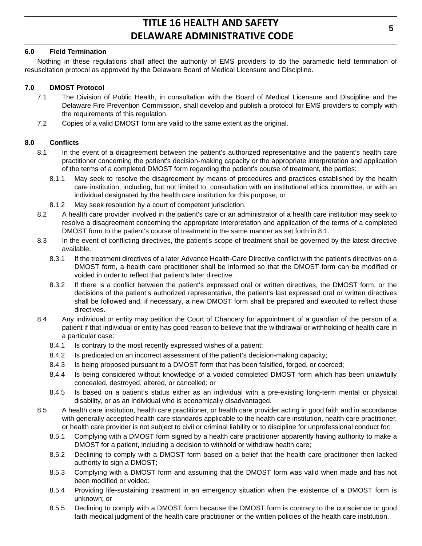## **6.0 Field Termination**

Nothing in these regulations shall affect the authority of EMS providers to do the paramedic field termination of resuscitation protocol as approved by the Delaware Board of Medical Licensure and Discipline.

## **7.0 DMOST Protocol**

- 7.1 The Division of Public Health, in consultation with the Board of Medical Licensure and Discipline and the Delaware Fire Prevention Commission, shall develop and publish a protocol for EMS providers to comply with the requirements of this regulation.
- 7.2 Copies of a valid DMOST form are valid to the same extent as the original.

## **8.0 Conflicts**

- 8.1 In the event of a disagreement between the patient's authorized representative and the patient's health care practitioner concerning the patient's decision-making capacity or the appropriate interpretation and application of the terms of a completed DMOST form regarding the patient's course of treatment, the parties:
	- 8.1.1 May seek to resolve the disagreement by means of procedures and practices established by the health care institution, including, but not limited to, consultation with an institutional ethics committee, or with an individual designated by the health care institution for this purpose; or
	- 8.1.2 May seek resolution by a court of competent jurisdiction.
- 8.2 A health care provider involved in the patient's care or an administrator of a health care institution may seek to resolve a disagreement concerning the appropriate interpretation and application of the terms of a completed DMOST form to the patient's course of treatment in the same manner as set forth in 8.1.
- 8.3 In the event of conflicting directives, the patient's scope of treatment shall be governed by the latest directive available.
	- 8.3.1 If the treatment directives of a later Advance Health-Care Directive conflict with the patient's directives on a DMOST form, a health care practitioner shall be informed so that the DMOST form can be modified or voided in order to reflect that patient's later directive.
	- 8.3.2 If there is a conflict between the patient's expressed oral or written directives, the DMOST form, or the decisions of the patient's authorized representative, the patient's last expressed oral or written directives shall be followed and, if necessary, a new DMOST form shall be prepared and executed to reflect those directives.
- 8.4 Any individual or entity may petition the Court of Chancery for appointment of a guardian of the person of a patient if that individual or entity has good reason to believe that the withdrawal or withholding of health care in a particular case:
	- 8.4.1 Is contrary to the most recently expressed wishes of a patient;
	- 8.4.2 Is predicated on an incorrect assessment of the patient's decision-making capacity;
	- 8.4.3 Is being proposed pursuant to a DMOST form that has been falsified, forged, or coerced;
	- 8.4.4 Is being considered without knowledge of a voided completed DMOST form which has been unlawfully concealed, destroyed, altered, or cancelled; or
	- 8.4.5 Is based on a patient's status either as an individual with a pre-existing long-term mental or physical disability, or as an individual who is economically disadvantaged.
- 8.5 A health care institution, health care practitioner, or health care provider acting in good faith and in accordance with generally accepted health care standards applicable to the health care institution, health care practitioner, or health care provider is not subject to civil or criminal liability or to discipline for unprofessional conduct for:
	- 8.5.1 Complying with a DMOST form signed by a health care practitioner apparently having authority to make a DMOST for a patient, including a decision to withhold or withdraw health care;
	- 8.5.2 Declining to comply with a DMOST form based on a belief that the health care practitioner then lacked authority to sign a DMOST;
	- 8.5.3 Complying with a DMOST form and assuming that the DMOST form was valid when made and has not been modified or voided;
	- 8.5.4 Providing life-sustaining treatment in an emergency situation when the existence of a DMOST form is unknown; or
	- 8.5.5 Declining to comply with a DMOST form because the DMOST form is contrary to the conscience or good faith medical judgment of the health care practitioner or the written policies of the health care institution.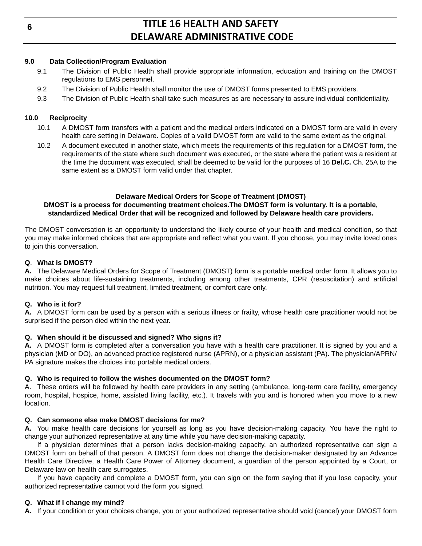## **9.0 Data Collection/Program Evaluation**

- 9.1 The Division of Public Health shall provide appropriate information, education and training on the DMOST regulations to EMS personnel.
- 9.2 The Division of Public Health shall monitor the use of DMOST forms presented to EMS providers.
- 9.3 The Division of Public Health shall take such measures as are necessary to assure individual confidentiality.

## **10.0 Reciprocity**

- 10.1 A DMOST form transfers with a patient and the medical orders indicated on a DMOST form are valid in every health care setting in Delaware. Copies of a valid DMOST form are valid to the same extent as the original.
- 10.2 A document executed in another state, which meets the requirements of this regulation for a DMOST form, the requirements of the state where such document was executed, or the state where the patient was a resident at the time the document was executed, shall be deemed to be valid for the purposes of 16 **Del.C.** Ch. 25A to the same extent as a DMOST form valid under that chapter.

#### **Delaware Medical Orders for Scope of Treatment (DMOST) DMOST is a process for documenting treatment choices.The DMOST form is voluntary. It is a portable, standardized Medical Order that will be recognized and followed by Delaware health care providers.**

The DMOST conversation is an opportunity to understand the likely course of your health and medical condition, so that you may make informed choices that are appropriate and reflect what you want. If you choose, you may invite loved ones to join this conversation.

## **Q**. **What is DMOST?**

**A.** The Delaware Medical Orders for Scope of Treatment (DMOST) form is a portable medical order form. It allows you to make choices about life-sustaining treatments, including among other treatments, CPR (resuscitation) and artificial nutrition. You may request full treatment, limited treatment, or comfort care only.

## **Q. Who is it for?**

**A.** A DMOST form can be used by a person with a serious illness or frailty, whose health care practitioner would not be surprised if the person died within the next year.

## **Q. When should it be discussed and signed? Who signs it?**

**A.** A DMOST form is completed after a conversation you have with a health care practitioner. It is signed by you and a physician (MD or DO), an advanced practice registered nurse (APRN), or a physician assistant (PA). The physician/APRN/ PA signature makes the choices into portable medical orders.

## **Q. Who is required to follow the wishes documented on the DMOST form?**

A. These orders will be followed by health care providers in any setting (ambulance, long-term care facility, emergency room, hospital, hospice, home, assisted living facility, etc.). It travels with you and is honored when you move to a new location.

## **Q. Can someone else make DMOST decisions for me?**

**A.** You make health care decisions for yourself as long as you have decision-making capacity. You have the right to change your authorized representative at any time while you have decision-making capacity.

If a physician determines that a person lacks decision-making capacity, an authorized representative can sign a DMOST form on behalf of that person. A DMOST form does not change the decision-maker designated by an Advance Health Care Directive, a Health Care Power of Attorney document, a guardian of the person appointed by a Court, or Delaware law on health care surrogates.

If you have capacity and complete a DMOST form, you can sign on the form saying that if you lose capacity, your authorized representative cannot void the form you signed.

## **Q. What if I change my mind?**

**A.** If your condition or your choices change, you or your authorized representative should void (cancel) your DMOST form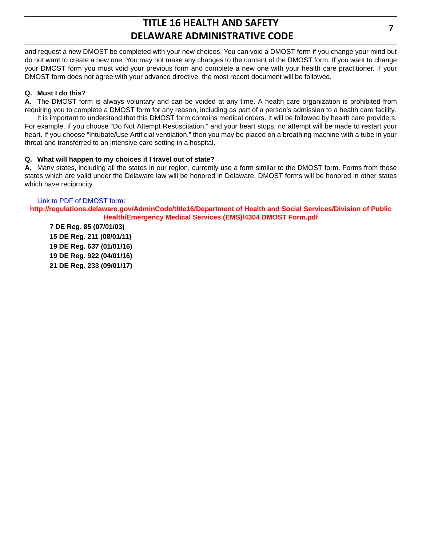and request a new DMOST be completed with your new choices. You can void a DMOST form if you change your mind but do not want to create a new one. You may not make any changes to the content of the DMOST form. If you want to change your DMOST form you must void your previous form and complete a new one with your health care practitioner. If your DMOST form does not agree with your advance directive, the most recent document will be followed.

## **Q. Must I do this?**

**A.** The DMOST form is always voluntary and can be voided at any time. A health care organization is prohibited from requiring you to complete a DMOST form for any reason, including as part of a person's admission to a health care facility.

It is important to understand that this DMOST form contains medical orders. It will be followed by health care providers. For example, if you choose "Do Not Attempt Resuscitation," and your heart stops, no attempt will be made to restart your heart. If you choose "Intubate/Use Artificial ventilation," then you may be placed on a breathing machine with a tube in your throat and transferred to an intensive care setting in a hospital.

## **Q. What will happen to my choices if I travel out of state?**

**A.** Many states, including all the states in our region, currently use a form similar to the DMOST form. Forms from those states which are valid under the Delaware law will be honored in Delaware. DMOST forms will be honored in other states which have reciprocity.

## Link to PDF of DMOST form:

**[http://regulations.delaware.gov/AdminCode/title16/Department of Health and Social Services/Division of Public](http://regulations.delaware.gov/AdminCode/title16/Department of Health and Social Services/Division of Public Health/Emergency Medical Services (EMS)/4304 DMOST Form.pdf)  Health/Emergency Medical Services (EMS)/4304 DMOST Form.pdf**

**7 DE Reg. 85 (07/01/03) 15 DE Reg. 211 (08/01/11) 19 DE Reg. 637 (01/01/16) 19 DE Reg. 922 (04/01/16) 21 DE Reg. 233 (09/01/17)**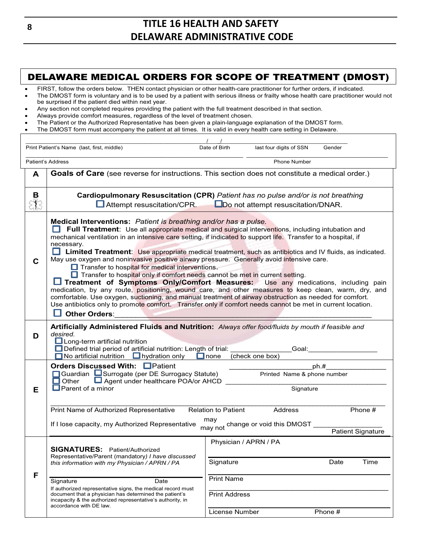## DELAWARE MEDICAL ORDERS FOR SCOPE OF TREATMENT (DMOST)

| FIRST, follow the orders below. THEN contact physician or other health-care practitioner for further orders, if indicated.<br>The DMOST form is voluntary and is to be used by a patient with serious illness or frailty whose health care practitioner would not<br>be surprised if the patient died within next year.<br>Any section not completed requires providing the patient with the full treatment described in that section.<br>Always provide comfort measures, regardless of the level of treatment chosen.<br>The Patient or the Authorized Representative has been given a plain-language explanation of the DMOST form.<br>The DMOST form must accompany the patient at all times. It is valid in every health care setting in Delaware. |                                                                                                                                                                                                                                                                                                                                                                                                                                                                                                                                                                                                                                                                                                                                                                                                                                                                                                                                                                                                                                                                                                      |                                        |                         |         |      |
|---------------------------------------------------------------------------------------------------------------------------------------------------------------------------------------------------------------------------------------------------------------------------------------------------------------------------------------------------------------------------------------------------------------------------------------------------------------------------------------------------------------------------------------------------------------------------------------------------------------------------------------------------------------------------------------------------------------------------------------------------------|------------------------------------------------------------------------------------------------------------------------------------------------------------------------------------------------------------------------------------------------------------------------------------------------------------------------------------------------------------------------------------------------------------------------------------------------------------------------------------------------------------------------------------------------------------------------------------------------------------------------------------------------------------------------------------------------------------------------------------------------------------------------------------------------------------------------------------------------------------------------------------------------------------------------------------------------------------------------------------------------------------------------------------------------------------------------------------------------------|----------------------------------------|-------------------------|---------|------|
|                                                                                                                                                                                                                                                                                                                                                                                                                                                                                                                                                                                                                                                                                                                                                         |                                                                                                                                                                                                                                                                                                                                                                                                                                                                                                                                                                                                                                                                                                                                                                                                                                                                                                                                                                                                                                                                                                      |                                        |                         |         |      |
| Print Patient's Name (last, first, middle)                                                                                                                                                                                                                                                                                                                                                                                                                                                                                                                                                                                                                                                                                                              |                                                                                                                                                                                                                                                                                                                                                                                                                                                                                                                                                                                                                                                                                                                                                                                                                                                                                                                                                                                                                                                                                                      | Date of Birth                          | last four digits of SSN | Gender  |      |
| Patient's Address                                                                                                                                                                                                                                                                                                                                                                                                                                                                                                                                                                                                                                                                                                                                       |                                                                                                                                                                                                                                                                                                                                                                                                                                                                                                                                                                                                                                                                                                                                                                                                                                                                                                                                                                                                                                                                                                      |                                        | <b>Phone Number</b>     |         |      |
| A                                                                                                                                                                                                                                                                                                                                                                                                                                                                                                                                                                                                                                                                                                                                                       | Goals of Care (see reverse for instructions. This section does not constitute a medical order.)                                                                                                                                                                                                                                                                                                                                                                                                                                                                                                                                                                                                                                                                                                                                                                                                                                                                                                                                                                                                      |                                        |                         |         |      |
| В                                                                                                                                                                                                                                                                                                                                                                                                                                                                                                                                                                                                                                                                                                                                                       | Cardiopulmonary Resuscitation (CPR) Patient has no pulse and/or is not breathing<br>Attempt resuscitation/CPR.<br>Do not attempt resuscitation/DNAR.                                                                                                                                                                                                                                                                                                                                                                                                                                                                                                                                                                                                                                                                                                                                                                                                                                                                                                                                                 |                                        |                         |         |      |
| C                                                                                                                                                                                                                                                                                                                                                                                                                                                                                                                                                                                                                                                                                                                                                       | Medical Interventions: Patient is breathing and/or has a pulse.<br>Full Treatment: Use all appropriate medical and surgical interventions, including intubation and<br>mechanical ventilation in an intensive care setting, if indicated to support life. Transfer to a hospital, if<br>necessary.<br><b>Limited Treatment:</b> Use appropriate medical treatment, such as antibiotics and IV fluids, as indicated.<br>May use oxygen and noninvasive positive airway pressure. Generally avoid intensive care.<br>$\Box$ Transfer to hospital for medical interventions.<br>Transfer to hospital only if comfort needs cannot be met in current setting.<br>Treatment of Symptoms Only/Comfort Measures: Use any medications, including pain<br>medication, by any route, positioning, wound care, and other measures to keep clean, warm, dry, and<br>comfortable. Use oxygen, suctioning, and manual treatment of airway obstruction as needed for comfort.<br>Use antibiotics only to promote comfort. Transfer only if comfort needs cannot be met in current location.<br><b>Other Orders:</b> |                                        |                         |         |      |
| D                                                                                                                                                                                                                                                                                                                                                                                                                                                                                                                                                                                                                                                                                                                                                       | Artificially Administered Fluids and Nutrition: Always offer food/fluids by mouth if feasible and<br>desired.<br>$\Box$ Long-term artificial nutrition<br>Defined trial period of artificial nutrition: Length of trial:<br>Goal:<br>$\Box$ No artificial nutrition $\Box$ hydration only<br>$\Box$ none<br>(check one box)                                                                                                                                                                                                                                                                                                                                                                                                                                                                                                                                                                                                                                                                                                                                                                          |                                        |                         |         |      |
| Е                                                                                                                                                                                                                                                                                                                                                                                                                                                                                                                                                                                                                                                                                                                                                       | <b>Orders Discussed With: Patient</b><br>ph.#<br>Guardian Surrogate (per DE Surrogacy Statute)<br>Printed Name & phone number<br>Agent under healthcare POA/or AHCD<br>Other<br>$\Box$ Parent of a minor<br>Signature                                                                                                                                                                                                                                                                                                                                                                                                                                                                                                                                                                                                                                                                                                                                                                                                                                                                                |                                        |                         |         |      |
|                                                                                                                                                                                                                                                                                                                                                                                                                                                                                                                                                                                                                                                                                                                                                         | Print Name of Authorized Representative<br>Address<br>Phone #<br><b>Relation to Patient</b><br>may<br>change or void this DMOST<br>If I lose capacity, my Authorized Representative<br>may not<br><b>Patient Signature</b>                                                                                                                                                                                                                                                                                                                                                                                                                                                                                                                                                                                                                                                                                                                                                                                                                                                                           |                                        |                         |         |      |
| F                                                                                                                                                                                                                                                                                                                                                                                                                                                                                                                                                                                                                                                                                                                                                       | <b>SIGNATURES: Patient/Authorized</b><br>Representative/Parent (mandatory) I have discussed<br>this information with my Physician / APRN / PA<br>Signature<br>Date<br>If authorized representative signs, the medical record must                                                                                                                                                                                                                                                                                                                                                                                                                                                                                                                                                                                                                                                                                                                                                                                                                                                                    | Signature<br><b>Print Name</b>         | Physician / APRN / PA   | Date    | Time |
|                                                                                                                                                                                                                                                                                                                                                                                                                                                                                                                                                                                                                                                                                                                                                         | document that a physician has determined the patient's<br>incapacity & the authorized representative's authority, in<br>accordance with DE law.                                                                                                                                                                                                                                                                                                                                                                                                                                                                                                                                                                                                                                                                                                                                                                                                                                                                                                                                                      | <b>Print Address</b><br>License Number |                         | Phone # |      |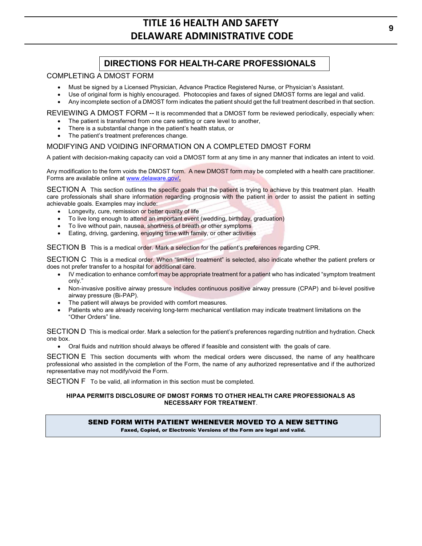## **DIRECTIONS FOR HEALTH-CARE PROFESSIONALS**

#### COMPLETING A DMOST FORM

- x Must be signed by a Licensed Physician, Advance Practice Registered Nurse, or Physician's Assistant.
- Use of original form is highly encouraged. Photocopies and faxes of signed DMOST forms are legal and valid.
- Any incomplete section of a DMOST form indicates the patient should get the full treatment described in that section.

REVIEWING A DMOST FORM -- It is recommended that a DMOST form be reviewed periodically, especially when:

- The patient is transferred from one care setting or care level to another,
- There is a substantial change in the patient's health status, or
- The patient's treatment preferences change.

## MODIFYING AND VOIDING INFORMATION ON A COMPLETED DMOST FORM

A patient with decision-making capacity can void a DMOST form at any time in any manner that indicates an intent to void.

Any modification to the form voids the DMOST form. A new DMOST form may be completed with a health care practitioner. Forms are available online at www.delaware.gov/**.**

SECTION A This section outlines the specific goals that the patient is trying to achieve by this treatment plan. Health care professionals shall share information regarding prognosis with the patient in order to assist the patient in setting achievable goals. Examples may include:

- Longevity, cure, remission or better quality of life
- To live long enough to attend an important event (wedding, birthday, graduation)
- To live without pain, nausea, shortness of breath or other symptoms
- Eating, driving, gardening, enjoying time with family, or other activities

SECTION B This is a medical order. Mark a selection for the patient's preferences regarding CPR.

SECTION C This is a medical order. When "limited treatment" is selected, also indicate whether the patient prefers or does not prefer transfer to a hospital for additional care.

- IV medication to enhance comfort may be appropriate treatment for a patient who has indicated "symptom treatment only."
- Non-invasive positive airway pressure includes continuous positive airway pressure (CPAP) and bi-level positive airway pressure (Bi-PAP).
- The patient will always be provided with comfort measures.
- Patients who are already receiving long-term mechanical ventilation may indicate treatment limitations on the "Other Orders" line.

SECTION D This is medical order. Mark a selection for the patient's preferences regarding nutrition and hydration. Check one box.

Oral fluids and nutrition should always be offered if feasible and consistent with the goals of care.

SECTION E This section documents with whom the medical orders were discussed, the name of any healthcare professional who assisted in the completion of the Form, the name of any authorized representative and if the authorized representative may not modify/void the Form.

SECTION F To be valid, all information in this section must be completed.

#### **HIPAA PERMITS DISCLOSURE OF DMOST FORMS TO OTHER HEALTH CARE PROFESSIONALS AS NECESSARY FOR TREATMENT**.

## SEND FORM WITH PATIENT WHENEVER MOVED TO A NEW SETTING

Faxed, Copied, or Electronic Versions of the Form are legal and valid.